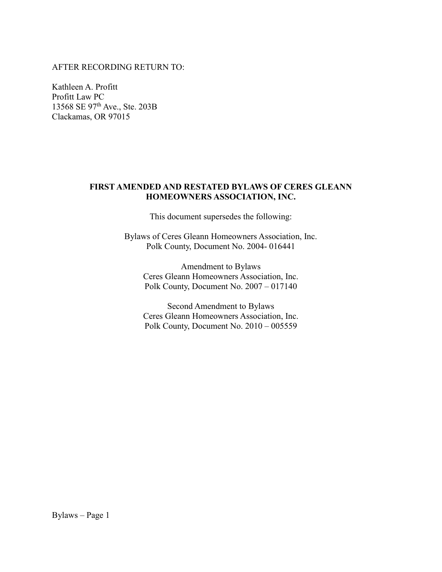#### AFTER RECORDING RETURN TO:

Kathleen A. Profitt Profitt Law PC 13568 SE 97th Ave., Ste. 203B Clackamas, OR 97015

### **FIRST AMENDED AND RESTATED BYLAWS OF CERES GLEANN HOMEOWNERS ASSOCIATION, INC.**

This document supersedes the following:

Bylaws of Ceres Gleann Homeowners Association, Inc. Polk County, Document No. 2004- 016441

Amendment to Bylaws Ceres Gleann Homeowners Association, Inc. Polk County, Document No. 2007 – 017140

Second Amendment to Bylaws Ceres Gleann Homeowners Association, Inc. Polk County, Document No. 2010 – 005559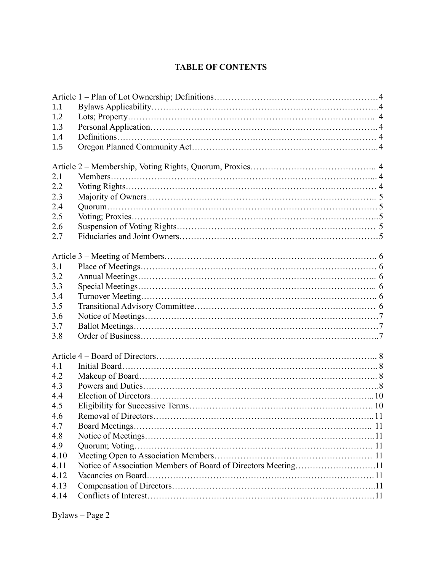# **TABLE OF CONTENTS**

| 1.1  |                                                               |  |
|------|---------------------------------------------------------------|--|
| 1.2  |                                                               |  |
| 1.3  |                                                               |  |
| 1.4  |                                                               |  |
| 1.5  |                                                               |  |
|      |                                                               |  |
|      |                                                               |  |
| 2.1  |                                                               |  |
| 2.2  |                                                               |  |
| 2.3  |                                                               |  |
| 2.4  |                                                               |  |
| 2.5  |                                                               |  |
| 2.6  |                                                               |  |
| 2.7  |                                                               |  |
|      |                                                               |  |
|      |                                                               |  |
| 3.1  |                                                               |  |
| 3.2  |                                                               |  |
| 3.3  |                                                               |  |
| 3.4  |                                                               |  |
| 3.5  |                                                               |  |
| 3.6  |                                                               |  |
| 3.7  |                                                               |  |
| 3.8  |                                                               |  |
|      |                                                               |  |
|      |                                                               |  |
| 4.1  |                                                               |  |
| 4.2  |                                                               |  |
| 4.3  |                                                               |  |
| 4.4  |                                                               |  |
| 4.5  |                                                               |  |
| 4.6  |                                                               |  |
| 4.7  |                                                               |  |
| 4.8  |                                                               |  |
| 4.9  |                                                               |  |
| 4.10 |                                                               |  |
| 4.11 | Notice of Association Members of Board of Directors Meeting11 |  |
| 4.12 |                                                               |  |
| 4.13 |                                                               |  |
| 4.14 |                                                               |  |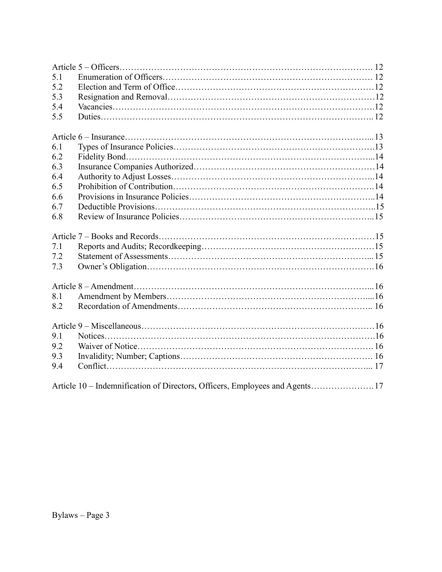| 5.1 |                                                                             |  |
|-----|-----------------------------------------------------------------------------|--|
| 5.2 |                                                                             |  |
| 5.3 |                                                                             |  |
| 5.4 |                                                                             |  |
| 5.5 |                                                                             |  |
|     |                                                                             |  |
|     |                                                                             |  |
| 6.1 |                                                                             |  |
| 6.2 |                                                                             |  |
| 6.3 |                                                                             |  |
| 6.4 |                                                                             |  |
| 6.5 |                                                                             |  |
| 6.6 |                                                                             |  |
| 6.7 |                                                                             |  |
| 6.8 |                                                                             |  |
|     |                                                                             |  |
|     |                                                                             |  |
| 7.1 |                                                                             |  |
| 7.2 |                                                                             |  |
| 7.3 |                                                                             |  |
|     |                                                                             |  |
|     |                                                                             |  |
| 8.1 |                                                                             |  |
| 8.2 |                                                                             |  |
|     |                                                                             |  |
|     |                                                                             |  |
| 9.1 |                                                                             |  |
| 9.2 |                                                                             |  |
| 9.3 |                                                                             |  |
| 9.4 |                                                                             |  |
|     |                                                                             |  |
|     | Article 10 – Indemnification of Directors, Officers, Employees and Agents17 |  |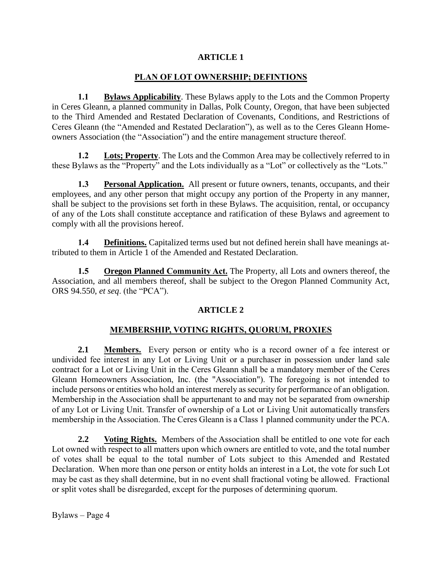## **ARTICLE 1**

# **PLAN OF LOT OWNERSHIP; DEFINTIONS**

**1.1 Bylaws Applicability**. These Bylaws apply to the Lots and the Common Property in Ceres Gleann, a planned community in Dallas, Polk County, Oregon, that have been subjected to the Third Amended and Restated Declaration of Covenants, Conditions, and Restrictions of Ceres Gleann (the "Amended and Restated Declaration"), as well as to the Ceres Gleann Homeowners Association (the "Association") and the entire management structure thereof.

**1.2 Lots; Property**. The Lots and the Common Area may be collectively referred to in these Bylaws as the "Property" and the Lots individually as a "Lot" or collectively as the "Lots."

**1.3 Personal Application.** All present or future owners, tenants, occupants, and their employees, and any other person that might occupy any portion of the Property in any manner, shall be subject to the provisions set forth in these Bylaws. The acquisition, rental, or occupancy of any of the Lots shall constitute acceptance and ratification of these Bylaws and agreement to comply with all the provisions hereof.

**1.4 Definitions.** Capitalized terms used but not defined herein shall have meanings attributed to them in Article 1 of the Amended and Restated Declaration.

**1.5 Oregon Planned Community Act.** The Property, all Lots and owners thereof, the Association, and all members thereof, shall be subject to the Oregon Planned Community Act, ORS 94.550, *et seq*. (the "PCA").

# **ARTICLE 2**

### **MEMBERSHIP, VOTING RIGHTS, QUORUM, PROXIES**

**2.1 Members.** Every person or entity who is a record owner of a fee interest or undivided fee interest in any Lot or Living Unit or a purchaser in possession under land sale contract for a Lot or Living Unit in the Ceres Gleann shall be a mandatory member of the Ceres Gleann Homeowners Association, Inc. (the "Association"). The foregoing is not intended to include persons or entities who hold an interest merely as security for performance of an obligation. Membership in the Association shall be appurtenant to and may not be separated from ownership of any Lot or Living Unit. Transfer of ownership of a Lot or Living Unit automatically transfers membership in the Association. The Ceres Gleann is a Class 1 planned community under the PCA.

**2.2 Voting Rights.** Members of the Association shall be entitled to one vote for each Lot owned with respect to all matters upon which owners are entitled to vote, and the total number of votes shall be equal to the total number of Lots subject to this Amended and Restated Declaration. When more than one person or entity holds an interest in a Lot, the vote for such Lot may be cast as they shall determine, but in no event shall fractional voting be allowed. Fractional or split votes shall be disregarded, except for the purposes of determining quorum.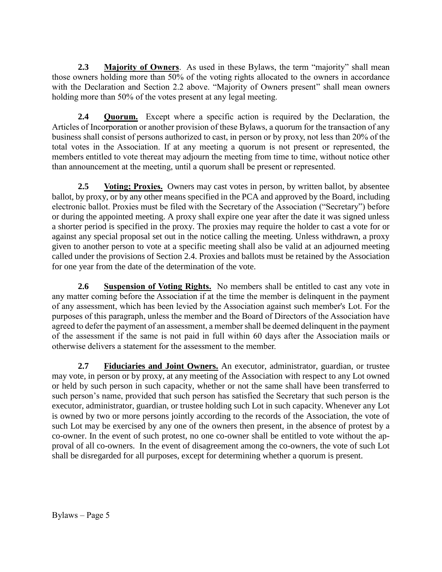**2.3 Majority of Owners**. As used in these Bylaws, the term "majority" shall mean those owners holding more than 50% of the voting rights allocated to the owners in accordance with the Declaration and Section 2.2 above. "Majority of Owners present" shall mean owners holding more than 50% of the votes present at any legal meeting.

**2.4 Quorum.** Except where a specific action is required by the Declaration, the Articles of Incorporation or another provision of these Bylaws, a quorum for the transaction of any business shall consist of persons authorized to cast, in person or by proxy, not less than 20% of the total votes in the Association. If at any meeting a quorum is not present or represented, the members entitled to vote thereat may adjourn the meeting from time to time, without notice other than announcement at the meeting, until a quorum shall be present or represented.

**2.5 Voting; Proxies.** Owners may cast votes in person, by written ballot, by absentee ballot, by proxy, or by any other means specified in the PCA and approved by the Board, including electronic ballot. Proxies must be filed with the Secretary of the Association ("Secretary") before or during the appointed meeting. A proxy shall expire one year after the date it was signed unless a shorter period is specified in the proxy. The proxies may require the holder to cast a vote for or against any special proposal set out in the notice calling the meeting. Unless withdrawn, a proxy given to another person to vote at a specific meeting shall also be valid at an adjourned meeting called under the provisions of Section 2.4. Proxies and ballots must be retained by the Association for one year from the date of the determination of the vote.

**2.6 Suspension of Voting Rights.** No members shall be entitled to cast any vote in any matter coming before the Association if at the time the member is delinquent in the payment of any assessment, which has been levied by the Association against such member's Lot. For the purposes of this paragraph, unless the member and the Board of Directors of the Association have agreed to defer the payment of an assessment, a member shall be deemed delinquent in the payment of the assessment if the same is not paid in full within 60 days after the Association mails or otherwise delivers a statement for the assessment to the member.

**2.7 Fiduciaries and Joint Owners.** An executor, administrator, guardian, or trustee may vote, in person or by proxy, at any meeting of the Association with respect to any Lot owned or held by such person in such capacity, whether or not the same shall have been transferred to such person's name, provided that such person has satisfied the Secretary that such person is the executor, administrator, guardian, or trustee holding such Lot in such capacity. Whenever any Lot is owned by two or more persons jointly according to the records of the Association, the vote of such Lot may be exercised by any one of the owners then present, in the absence of protest by a co-owner. In the event of such protest, no one co-owner shall be entitled to vote without the approval of all co-owners. In the event of disagreement among the co-owners, the vote of such Lot shall be disregarded for all purposes, except for determining whether a quorum is present.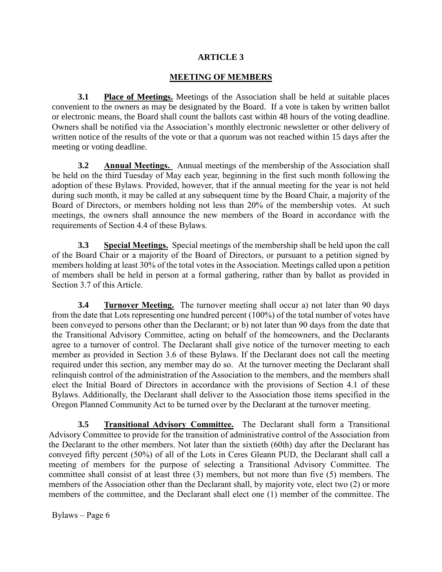### **ARTICLE 3**

## **MEETING OF MEMBERS**

**3.1 Place of Meetings.** Meetings of the Association shall be held at suitable places convenient to the owners as may be designated by the Board. If a vote is taken by written ballot or electronic means, the Board shall count the ballots cast within 48 hours of the voting deadline. Owners shall be notified via the Association's monthly electronic newsletter or other delivery of written notice of the results of the vote or that a quorum was not reached within 15 days after the meeting or voting deadline.

**3.2 Annual Meetings.** Annual meetings of the membership of the Association shall be held on the third Tuesday of May each year, beginning in the first such month following the adoption of these Bylaws. Provided, however, that if the annual meeting for the year is not held during such month, it may be called at any subsequent time by the Board Chair, a majority of the Board of Directors, or members holding not less than 20% of the membership votes. At such meetings, the owners shall announce the new members of the Board in accordance with the requirements of Section 4.4 of these Bylaws.

**3.3 Special Meetings.** Special meetings of the membership shall be held upon the call of the Board Chair or a majority of the Board of Directors, or pursuant to a petition signed by members holding at least 30% of the total votes in the Association. Meetings called upon a petition of members shall be held in person at a formal gathering, rather than by ballot as provided in Section 3.7 of this Article.

**3.4 Turnover Meeting.** The turnover meeting shall occur a) not later than 90 days from the date that Lots representing one hundred percent (100%) of the total number of votes have been conveyed to persons other than the Declarant; or b) not later than 90 days from the date that the Transitional Advisory Committee, acting on behalf of the homeowners, and the Declarants agree to a turnover of control. The Declarant shall give notice of the turnover meeting to each member as provided in Section 3.6 of these Bylaws. If the Declarant does not call the meeting required under this section, any member may do so.At the turnover meeting the Declarant shall relinquish control of the administration of the Association to the members, and the members shall elect the Initial Board of Directors in accordance with the provisions of Section 4.1 of these Bylaws. Additionally, the Declarant shall deliver to the Association those items specified in the Oregon Planned Community Act to be turned over by the Declarant at the turnover meeting.

**3.5 Transitional Advisory Committee.** The Declarant shall form a Transitional Advisory Committee to provide for the transition of administrative control of the Association from the Declarant to the other members. Not later than the sixtieth (60th) day after the Declarant has conveyed fifty percent (50%) of all of the Lots in Ceres Gleann PUD, the Declarant shall call a meeting of members for the purpose of selecting a Transitional Advisory Committee. The committee shall consist of at least three (3) members, but not more than five (5) members. The members of the Association other than the Declarant shall, by majority vote, elect two (2) or more members of the committee, and the Declarant shall elect one (1) member of the committee. The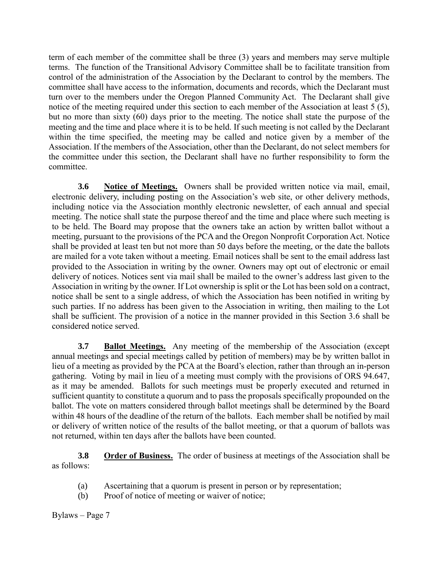term of each member of the committee shall be three (3) years and members may serve multiple terms. The function of the Transitional Advisory Committee shall be to facilitate transition from control of the administration of the Association by the Declarant to control by the members. The committee shall have access to the information, documents and records, which the Declarant must turn over to the members under the Oregon Planned Community Act. The Declarant shall give notice of the meeting required under this section to each member of the Association at least 5 (5), but no more than sixty (60) days prior to the meeting. The notice shall state the purpose of the meeting and the time and place where it is to be held. If such meeting is not called by the Declarant within the time specified, the meeting may be called and notice given by a member of the Association. If the members of the Association, other than the Declarant, do not select members for the committee under this section, the Declarant shall have no further responsibility to form the committee.

**3.6 Notice of Meetings.** Owners shall be provided written notice via mail, email, electronic delivery, including posting on the Association's web site, or other delivery methods, including notice via the Association monthly electronic newsletter, of each annual and special meeting. The notice shall state the purpose thereof and the time and place where such meeting is to be held. The Board may propose that the owners take an action by written ballot without a meeting, pursuant to the provisions of the PCA and the Oregon Nonprofit Corporation Act. Notice shall be provided at least ten but not more than 50 days before the meeting, or the date the ballots are mailed for a vote taken without a meeting. Email notices shall be sent to the email address last provided to the Association in writing by the owner. Owners may opt out of electronic or email delivery of notices. Notices sent via mail shall be mailed to the owner's address last given to the Association in writing by the owner. If Lot ownership is split or the Lot has been sold on a contract, notice shall be sent to a single address, of which the Association has been notified in writing by such parties. If no address has been given to the Association in writing, then mailing to the Lot shall be sufficient. The provision of a notice in the manner provided in this Section 3.6 shall be considered notice served.

**3.7 Ballot Meetings.** Any meeting of the membership of the Association (except annual meetings and special meetings called by petition of members) may be by written ballot in lieu of a meeting as provided by the PCA at the Board's election, rather than through an in-person gathering. Voting by mail in lieu of a meeting must comply with the provisions of ORS 94.647, as it may be amended. Ballots for such meetings must be properly executed and returned in sufficient quantity to constitute a quorum and to pass the proposals specifically propounded on the ballot. The vote on matters considered through ballot meetings shall be determined by the Board within 48 hours of the deadline of the return of the ballots. Each member shall be notified by mail or delivery of written notice of the results of the ballot meeting, or that a quorum of ballots was not returned, within ten days after the ballots have been counted.

**3.8 Order of Business.** The order of business at meetings of the Association shall be as follows:

- (a) Ascertaining that a quorum is present in person or by representation;
- (b) Proof of notice of meeting or waiver of notice;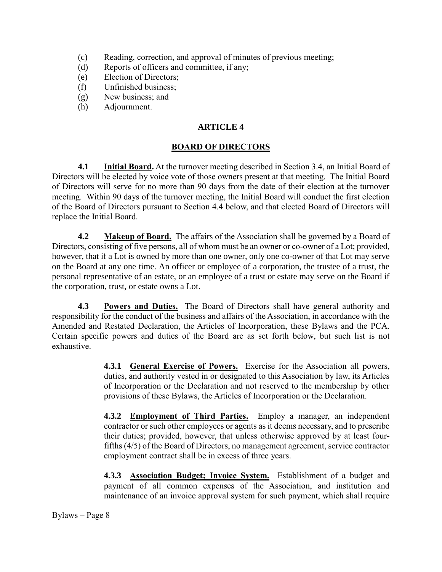- (c) Reading, correction, and approval of minutes of previous meeting;
- (d) Reports of officers and committee, if any;
- (e) Election of Directors;
- (f) Unfinished business;
- (g) New business; and
- (h) Adjournment.

# **ARTICLE 4**

## **BOARD OF DIRECTORS**

**4.1 Initial Board.** At the turnover meeting described in Section 3.4, an Initial Board of Directors will be elected by voice vote of those owners present at that meeting. The Initial Board of Directors will serve for no more than 90 days from the date of their election at the turnover meeting. Within 90 days of the turnover meeting, the Initial Board will conduct the first election of the Board of Directors pursuant to Section 4.4 below, and that elected Board of Directors will replace the Initial Board.

**4.2 Makeup of Board.** The affairs of the Association shall be governed by a Board of Directors, consisting of five persons, all of whom must be an owner or co-owner of a Lot; provided, however, that if a Lot is owned by more than one owner, only one co-owner of that Lot may serve on the Board at any one time. An officer or employee of a corporation, the trustee of a trust, the personal representative of an estate, or an employee of a trust or estate may serve on the Board if the corporation, trust, or estate owns a Lot.

**4.3 Powers and Duties.** The Board of Directors shall have general authority and responsibility for the conduct of the business and affairs of the Association, in accordance with the Amended and Restated Declaration, the Articles of Incorporation, these Bylaws and the PCA. Certain specific powers and duties of the Board are as set forth below, but such list is not exhaustive.

> **4.3.1 General Exercise of Powers.** Exercise for the Association all powers, duties, and authority vested in or designated to this Association by law, its Articles of Incorporation or the Declaration and not reserved to the membership by other provisions of these Bylaws, the Articles of Incorporation or the Declaration.

> **4.3.2 Employment of Third Parties.** Employ a manager, an independent contractor or such other employees or agents as it deems necessary, and to prescribe their duties; provided, however, that unless otherwise approved by at least fourfifths (4/5) of the Board of Directors, no management agreement, service contractor employment contract shall be in excess of three years.

> **4.3.3 Association Budget; Invoice System.** Establishment of a budget and payment of all common expenses of the Association, and institution and maintenance of an invoice approval system for such payment, which shall require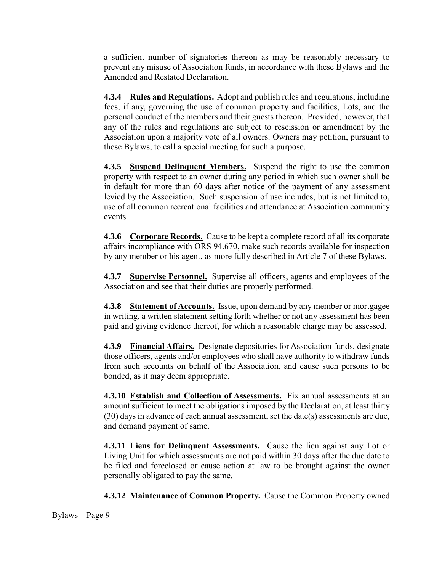a sufficient number of signatories thereon as may be reasonably necessary to prevent any misuse of Association funds, in accordance with these Bylaws and the Amended and Restated Declaration.

**4.3.4 Rules and Regulations.** Adopt and publish rules and regulations, including fees, if any, governing the use of common property and facilities, Lots, and the personal conduct of the members and their guests thereon. Provided, however, that any of the rules and regulations are subject to rescission or amendment by the Association upon a majority vote of all owners. Owners may petition, pursuant to these Bylaws, to call a special meeting for such a purpose.

**4.3.5 Suspend Delinquent Members.** Suspend the right to use the common property with respect to an owner during any period in which such owner shall be in default for more than 60 days after notice of the payment of any assessment levied by the Association. Such suspension of use includes, but is not limited to, use of all common recreational facilities and attendance at Association community events.

**4.3.6 Corporate Records.** Cause to be kept a complete record of all its corporate affairs incompliance with ORS 94.670, make such records available for inspection by any member or his agent, as more fully described in Article 7 of these Bylaws.

**4.3.7 Supervise Personnel.** Supervise all officers, agents and employees of the Association and see that their duties are properly performed.

**4.3.8 Statement of Accounts.** Issue, upon demand by any member or mortgagee in writing, a written statement setting forth whether or not any assessment has been paid and giving evidence thereof, for which a reasonable charge may be assessed.

**4.3.9 Financial Affairs.** Designate depositories for Association funds, designate those officers, agents and/or employees who shall have authority to withdraw funds from such accounts on behalf of the Association, and cause such persons to be bonded, as it may deem appropriate.

**4.3.10 Establish and Collection of Assessments.** Fix annual assessments at an amount sufficient to meet the obligations imposed by the Declaration, at least thirty (30) days in advance of each annual assessment, set the date(s) assessments are due, and demand payment of same.

**4.3.11 Liens for Delinquent Assessments.** Cause the lien against any Lot or Living Unit for which assessments are not paid within 30 days after the due date to be filed and foreclosed or cause action at law to be brought against the owner personally obligated to pay the same.

**4.3.12 Maintenance of Common Property.** Cause the Common Property owned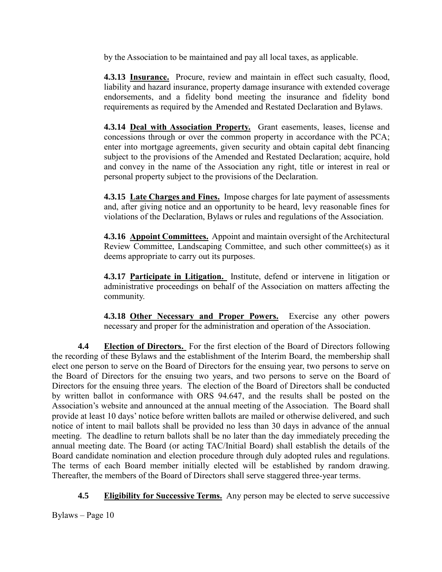by the Association to be maintained and pay all local taxes, as applicable.

**4.3.13 Insurance.** Procure, review and maintain in effect such casualty, flood, liability and hazard insurance, property damage insurance with extended coverage endorsements, and a fidelity bond meeting the insurance and fidelity bond requirements as required by the Amended and Restated Declaration and Bylaws.

**4.3.14 Deal with Association Property.** Grant easements, leases, license and concessions through or over the common property in accordance with the PCA; enter into mortgage agreements, given security and obtain capital debt financing subject to the provisions of the Amended and Restated Declaration; acquire, hold and convey in the name of the Association any right, title or interest in real or personal property subject to the provisions of the Declaration.

**4.3.15 Late Charges and Fines.** Impose charges for late payment of assessments and, after giving notice and an opportunity to be heard, levy reasonable fines for violations of the Declaration, Bylaws or rules and regulations of the Association.

**4.3.16 Appoint Committees.** Appoint and maintain oversight of the Architectural Review Committee, Landscaping Committee, and such other committee(s) as it deems appropriate to carry out its purposes.

**4.3.17 Participate in Litigation.** Institute, defend or intervene in litigation or administrative proceedings on behalf of the Association on matters affecting the community.

**4.3.18 Other Necessary and Proper Powers.** Exercise any other powers necessary and proper for the administration and operation of the Association.

**4.4 Election of Directors.** For the first election of the Board of Directors following the recording of these Bylaws and the establishment of the Interim Board, the membership shall elect one person to serve on the Board of Directors for the ensuing year, two persons to serve on the Board of Directors for the ensuing two years, and two persons to serve on the Board of Directors for the ensuing three years. The election of the Board of Directors shall be conducted by written ballot in conformance with ORS 94.647, and the results shall be posted on the Association's website and announced at the annual meeting of the Association. The Board shall provide at least 10 days' notice before written ballots are mailed or otherwise delivered, and such notice of intent to mail ballots shall be provided no less than 30 days in advance of the annual meeting. The deadline to return ballots shall be no later than the day immediately preceding the annual meeting date. The Board (or acting TAC/Initial Board) shall establish the details of the Board candidate nomination and election procedure through duly adopted rules and regulations. The terms of each Board member initially elected will be established by random drawing. Thereafter, the members of the Board of Directors shall serve staggered three-year terms.

**4.5 Eligibility for Successive Terms.** Any person may be elected to serve successive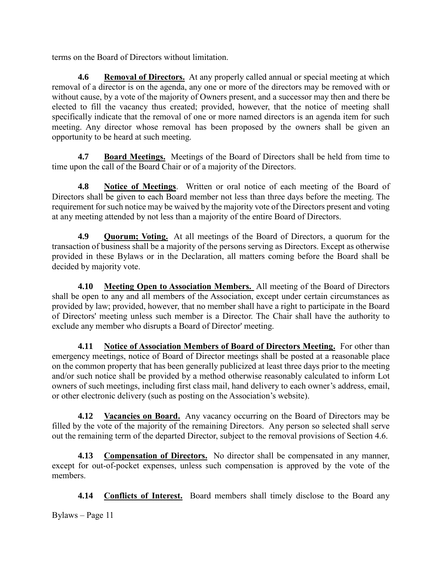terms on the Board of Directors without limitation.

**4.6 Removal of Directors.** At any properly called annual or special meeting at which removal of a director is on the agenda, any one or more of the directors may be removed with or without cause, by a vote of the majority of Owners present, and a successor may then and there be elected to fill the vacancy thus created; provided, however, that the notice of meeting shall specifically indicate that the removal of one or more named directors is an agenda item for such meeting. Any director whose removal has been proposed by the owners shall be given an opportunity to be heard at such meeting.

**4.7 Board Meetings.** Meetings of the Board of Directors shall be held from time to time upon the call of the Board Chair or of a majority of the Directors.

**4.8 Notice of Meetings**. Written or oral notice of each meeting of the Board of Directors shall be given to each Board member not less than three days before the meeting. The requirement for such notice may be waived by the majority vote of the Directors present and voting at any meeting attended by not less than a majority of the entire Board of Directors.

**4.9 Quorum; Voting.** At all meetings of the Board of Directors, a quorum for the transaction of business shall be a majority of the persons serving as Directors. Except as otherwise provided in these Bylaws or in the Declaration, all matters coming before the Board shall be decided by majority vote.

**4.10 Meeting Open to Association Members.** All meeting of the Board of Directors shall be open to any and all members of the Association, except under certain circumstances as provided by law; provided, however, that no member shall have a right to participate in the Board of Directors' meeting unless such member is a Director. The Chair shall have the authority to exclude any member who disrupts a Board of Director' meeting.

**4.11 Notice of Association Members of Board of Directors Meeting.** For other than emergency meetings, notice of Board of Director meetings shall be posted at a reasonable place on the common property that has been generally publicized at least three days prior to the meeting and/or such notice shall be provided by a method otherwise reasonably calculated to inform Lot owners of such meetings, including first class mail, hand delivery to each owner's address, email, or other electronic delivery (such as posting on the Association's website).

**4.12 Vacancies on Board.** Any vacancy occurring on the Board of Directors may be filled by the vote of the majority of the remaining Directors. Any person so selected shall serve out the remaining term of the departed Director, subject to the removal provisions of Section 4.6.

**4.13 Compensation of Directors.** No director shall be compensated in any manner, except for out-of-pocket expenses, unless such compensation is approved by the vote of the members.

**4.14 Conflicts of Interest.** Board members shall timely disclose to the Board any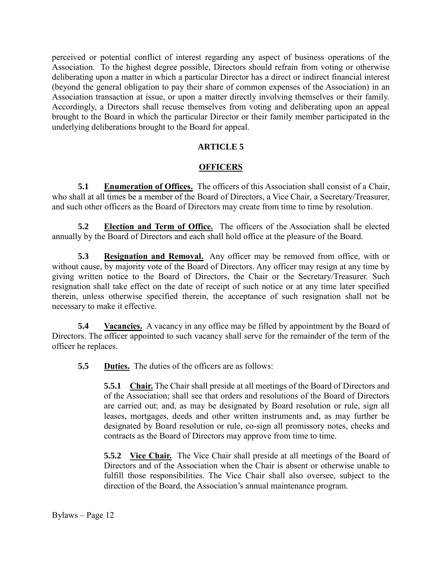perceived or potential conflict of interest regarding any aspect of business operations of the Association. To the highest degree possible, Directors should refrain from voting or otherwise deliberating upon a matter in which a particular Director has a direct or indirect financial interest (beyond the general obligation to pay their share of common expenses of the Association) in an Association transaction at issue, or upon a matter directly involving themselves or their family. Accordingly, a Directors shall recuse themselves from voting and deliberating upon an appeal brought to the Board in which the particular Director or their family member participated in the underlying deliberations brought to the Board for appeal.

# **ARTICLE 5**

### **OFFICERS**

**5.1 Enumeration of Offices.** The officers of this Association shall consist of a Chair, who shall at all times be a member of the Board of Directors, a Vice Chair, a Secretary/Treasurer, and such other officers as the Board of Directors may create from time to time by resolution.

**5.2 Election and Term of Office.** The officers of the Association shall be elected annually by the Board of Directors and each shall hold office at the pleasure of the Board.

**5.3 Resignation and Removal.** Any officer may be removed from office, with or without cause, by majority vote of the Board of Directors. Any officer may resign at any time by giving written notice to the Board of Directors, the Chair or the Secretary/Treasurer. Such resignation shall take effect on the date of receipt of such notice or at any time later specified therein, unless otherwise specified therein, the acceptance of such resignation shall not be necessary to make it effective.

**5.4 Vacancies.** A vacancy in any office may be filled by appointment by the Board of Directors. The officer appointed to such vacancy shall serve for the remainder of the term of the officer he replaces.

**5.5 Duties.** The duties of the officers are as follows:

**5.5.1 Chair.** The Chair shall preside at all meetings of the Board of Directors and of the Association; shall see that orders and resolutions of the Board of Directors are carried out; and, as may be designated by Board resolution or rule, sign all leases, mortgages, deeds and other written instruments and, as may further be designated by Board resolution or rule, co-sign all promissory notes, checks and contracts as the Board of Directors may approve from time to time.

**5.5.2 Vice Chair.** The Vice Chair shall preside at all meetings of the Board of Directors and of the Association when the Chair is absent or otherwise unable to fulfill those responsibilities. The Vice Chair shall also oversee, subject to the direction of the Board, the Association's annual maintenance program.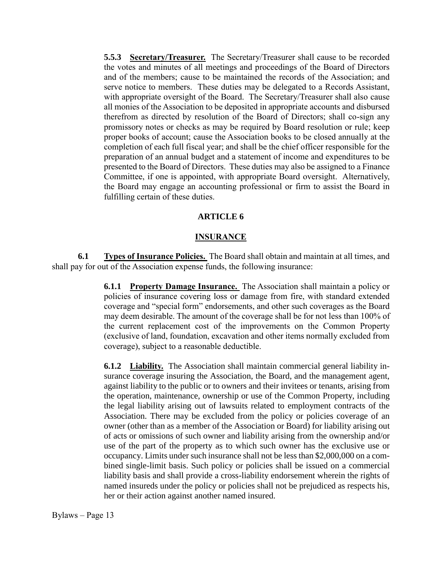**5.5.3 Secretary/Treasurer.** The Secretary/Treasurer shall cause to be recorded the votes and minutes of all meetings and proceedings of the Board of Directors and of the members; cause to be maintained the records of the Association; and serve notice to members. These duties may be delegated to a Records Assistant, with appropriate oversight of the Board. The Secretary/Treasurer shall also cause all monies of the Association to be deposited in appropriate accounts and disbursed therefrom as directed by resolution of the Board of Directors; shall co-sign any promissory notes or checks as may be required by Board resolution or rule; keep proper books of account; cause the Association books to be closed annually at the completion of each full fiscal year; and shall be the chief officer responsible for the preparation of an annual budget and a statement of income and expenditures to be presented to the Board of Directors. These duties may also be assigned to a Finance Committee, if one is appointed, with appropriate Board oversight. Alternatively, the Board may engage an accounting professional or firm to assist the Board in fulfilling certain of these duties.

### **ARTICLE 6**

### **INSURANCE**

**6.1 Types of Insurance Policies.** The Board shall obtain and maintain at all times, and shall pay for out of the Association expense funds, the following insurance:

> **6.1.1 Property Damage Insurance.** The Association shall maintain a policy or policies of insurance covering loss or damage from fire, with standard extended coverage and "special form" endorsements, and other such coverages as the Board may deem desirable. The amount of the coverage shall be for not less than 100% of the current replacement cost of the improvements on the Common Property (exclusive of land, foundation, excavation and other items normally excluded from coverage), subject to a reasonable deductible.

> **6.1.2 Liability.** The Association shall maintain commercial general liability insurance coverage insuring the Association, the Board, and the management agent, against liability to the public or to owners and their invitees or tenants, arising from the operation, maintenance, ownership or use of the Common Property, including the legal liability arising out of lawsuits related to employment contracts of the Association. There may be excluded from the policy or policies coverage of an owner (other than as a member of the Association or Board) for liability arising out of acts or omissions of such owner and liability arising from the ownership and/or use of the part of the property as to which such owner has the exclusive use or occupancy. Limits under such insurance shall not be less than \$2,000,000 on a combined single-limit basis. Such policy or policies shall be issued on a commercial liability basis and shall provide a cross-liability endorsement wherein the rights of named insureds under the policy or policies shall not be prejudiced as respects his, her or their action against another named insured.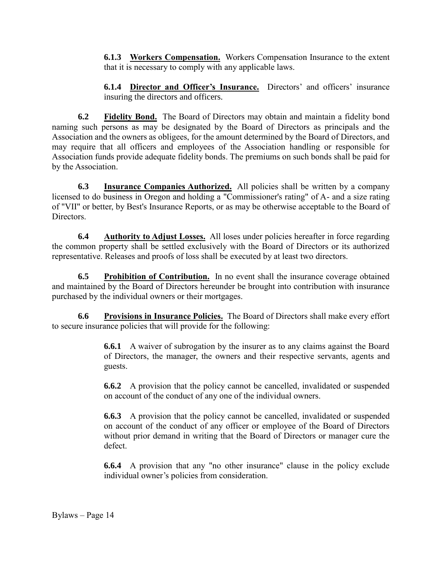**6.1.3 Workers Compensation.** Workers Compensation Insurance to the extent that it is necessary to comply with any applicable laws.

**6.1.4 Director and Officer's Insurance.** Directors' and officers' insurance insuring the directors and officers.

**6.2 Fidelity Bond.** The Board of Directors may obtain and maintain a fidelity bond naming such persons as may be designated by the Board of Directors as principals and the Association and the owners as obligees, for the amount determined by the Board of Directors, and may require that all officers and employees of the Association handling or responsible for Association funds provide adequate fidelity bonds. The premiums on such bonds shall be paid for by the Association.

**6.3 Insurance Companies Authorized.** All policies shall be written by a company licensed to do business in Oregon and holding a "Commissioner's rating" of A- and a size rating of "VII" or better, by Best's Insurance Reports, or as may be otherwise acceptable to the Board of Directors.

**6.4 Authority to Adjust Losses.** All loses under policies hereafter in force regarding the common property shall be settled exclusively with the Board of Directors or its authorized representative. Releases and proofs of loss shall be executed by at least two directors.

**6.5 Prohibition of Contribution.** In no event shall the insurance coverage obtained and maintained by the Board of Directors hereunder be brought into contribution with insurance purchased by the individual owners or their mortgages.

**6.6** Provisions in Insurance Policies. The Board of Directors shall make every effort to secure insurance policies that will provide for the following:

> **6.6.1** A waiver of subrogation by the insurer as to any claims against the Board of Directors, the manager, the owners and their respective servants, agents and guests.

> **6.6.2** A provision that the policy cannot be cancelled, invalidated or suspended on account of the conduct of any one of the individual owners.

> **6.6.3** A provision that the policy cannot be cancelled, invalidated or suspended on account of the conduct of any officer or employee of the Board of Directors without prior demand in writing that the Board of Directors or manager cure the defect.

> **6.6.4** A provision that any "no other insurance" clause in the policy exclude individual owner's policies from consideration.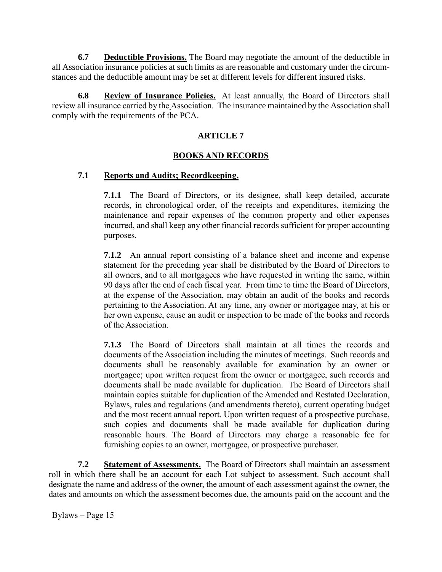**6.7 Deductible Provisions.** The Board may negotiate the amount of the deductible in all Association insurance policies at such limits as are reasonable and customary under the circumstances and the deductible amount may be set at different levels for different insured risks.

**6.8 Review of Insurance Policies.** At least annually, the Board of Directors shall review all insurance carried by the Association. The insurance maintained by the Association shall comply with the requirements of the PCA.

## **ARTICLE 7**

### **BOOKS AND RECORDS**

### **7.1 Reports and Audits; Recordkeeping.**

**7.1.1** The Board of Directors, or its designee, shall keep detailed, accurate records, in chronological order, of the receipts and expenditures, itemizing the maintenance and repair expenses of the common property and other expenses incurred, and shall keep any other financial records sufficient for proper accounting purposes.

**7.1.2** An annual report consisting of a balance sheet and income and expense statement for the preceding year shall be distributed by the Board of Directors to all owners, and to all mortgagees who have requested in writing the same, within 90 days after the end of each fiscal year. From time to time the Board of Directors, at the expense of the Association, may obtain an audit of the books and records pertaining to the Association. At any time, any owner or mortgagee may, at his or her own expense, cause an audit or inspection to be made of the books and records of the Association.

**7.1.3** The Board of Directors shall maintain at all times the records and documents of the Association including the minutes of meetings. Such records and documents shall be reasonably available for examination by an owner or mortgagee; upon written request from the owner or mortgagee, such records and documents shall be made available for duplication. The Board of Directors shall maintain copies suitable for duplication of the Amended and Restated Declaration, Bylaws, rules and regulations (and amendments thereto), current operating budget and the most recent annual report. Upon written request of a prospective purchase, such copies and documents shall be made available for duplication during reasonable hours. The Board of Directors may charge a reasonable fee for furnishing copies to an owner, mortgagee, or prospective purchaser.

**7.2 Statement of Assessments.** The Board of Directors shall maintain an assessment roll in which there shall be an account for each Lot subject to assessment. Such account shall designate the name and address of the owner, the amount of each assessment against the owner, the dates and amounts on which the assessment becomes due, the amounts paid on the account and the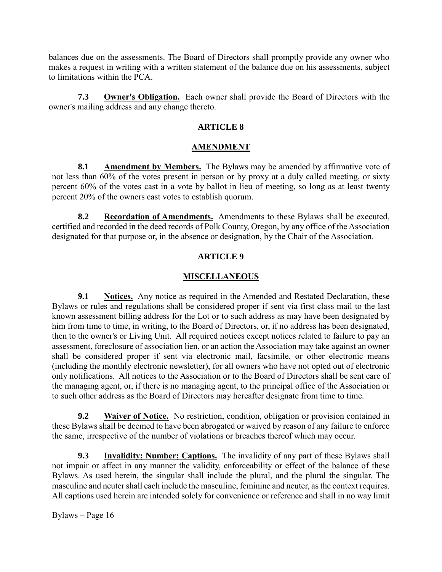balances due on the assessments. The Board of Directors shall promptly provide any owner who makes a request in writing with a written statement of the balance due on his assessments, subject to limitations within the PCA.

**7.3 Owner's Obligation.** Each owner shall provide the Board of Directors with the owner's mailing address and any change thereto.

## **ARTICLE 8**

### **AMENDMENT**

**8.1 Amendment by Members.** The Bylaws may be amended by affirmative vote of not less than 60% of the votes present in person or by proxy at a duly called meeting, or sixty percent 60% of the votes cast in a vote by ballot in lieu of meeting, so long as at least twenty percent 20% of the owners cast votes to establish quorum.

**8.2 Recordation of Amendments.** Amendments to these Bylaws shall be executed, certified and recorded in the deed records of Polk County, Oregon, by any office of the Association designated for that purpose or, in the absence or designation, by the Chair of the Association.

## **ARTICLE 9**

## **MISCELLANEOUS**

**9.1 Notices.** Any notice as required in the Amended and Restated Declaration, these Bylaws or rules and regulations shall be considered proper if sent via first class mail to the last known assessment billing address for the Lot or to such address as may have been designated by him from time to time, in writing, to the Board of Directors, or, if no address has been designated, then to the owner's or Living Unit. All required notices except notices related to failure to pay an assessment, foreclosure of association lien, or an action the Association may take against an owner shall be considered proper if sent via electronic mail, facsimile, or other electronic means (including the monthly electronic newsletter), for all owners who have not opted out of electronic only notifications. All notices to the Association or to the Board of Directors shall be sent care of the managing agent, or, if there is no managing agent, to the principal office of the Association or to such other address as the Board of Directors may hereafter designate from time to time.

**9.2 Waiver of Notice.** No restriction, condition, obligation or provision contained in these Bylaws shall be deemed to have been abrogated or waived by reason of any failure to enforce the same, irrespective of the number of violations or breaches thereof which may occur.

**9.3 Invalidity; Number; Captions.** The invalidity of any part of these Bylaws shall not impair or affect in any manner the validity, enforceability or effect of the balance of these Bylaws. As used herein, the singular shall include the plural, and the plural the singular. The masculine and neuter shall each include the masculine, feminine and neuter, as the context requires. All captions used herein are intended solely for convenience or reference and shall in no way limit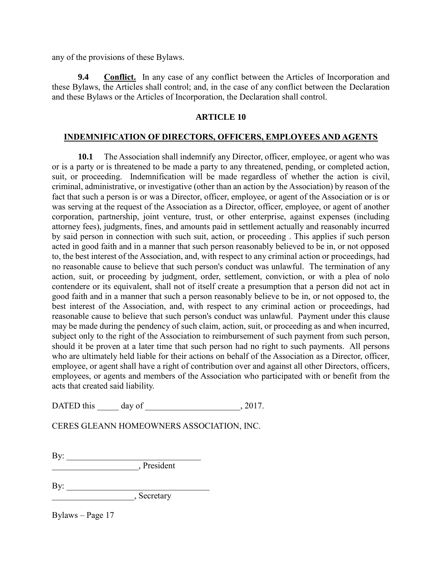any of the provisions of these Bylaws.

**9.4 Conflict.** In any case of any conflict between the Articles of Incorporation and these Bylaws, the Articles shall control; and, in the case of any conflict between the Declaration and these Bylaws or the Articles of Incorporation, the Declaration shall control.

### **ARTICLE 10**

### **INDEMNIFICATION OF DIRECTORS, OFFICERS, EMPLOYEES AND AGENTS**

**10.1** The Association shall indemnify any Director, officer, employee, or agent who was or is a party or is threatened to be made a party to any threatened, pending, or completed action, suit, or proceeding. Indemnification will be made regardless of whether the action is civil, criminal, administrative, or investigative (other than an action by the Association) by reason of the fact that such a person is or was a Director, officer, employee, or agent of the Association or is or was serving at the request of the Association as a Director, officer, employee, or agent of another corporation, partnership, joint venture, trust, or other enterprise, against expenses (including attorney fees), judgments, fines, and amounts paid in settlement actually and reasonably incurred by said person in connection with such suit, action, or proceeding . This applies if such person acted in good faith and in a manner that such person reasonably believed to be in, or not opposed to, the best interest of the Association, and, with respect to any criminal action or proceedings, had no reasonable cause to believe that such person's conduct was unlawful. The termination of any action, suit, or proceeding by judgment, order, settlement, conviction, or with a plea of nolo contendere or its equivalent, shall not of itself create a presumption that a person did not act in good faith and in a manner that such a person reasonably believe to be in, or not opposed to, the best interest of the Association, and, with respect to any criminal action or proceedings, had reasonable cause to believe that such person's conduct was unlawful. Payment under this clause may be made during the pendency of such claim, action, suit, or proceeding as and when incurred, subject only to the right of the Association to reimbursement of such payment from such person, should it be proven at a later time that such person had no right to such payments. All persons who are ultimately held liable for their actions on behalf of the Association as a Director, officer, employee, or agent shall have a right of contribution over and against all other Directors, officers, employees, or agents and members of the Association who participated with or benefit from the acts that created said liability.

DATED this day of 2017.

CERES GLEANN HOMEOWNERS ASSOCIATION, INC.

By:  $\Box$ \_\_\_\_\_\_\_\_\_\_\_\_\_\_\_\_\_\_\_\_, President

By:

 $\sum_{i=1}^{\infty}$  Secretary